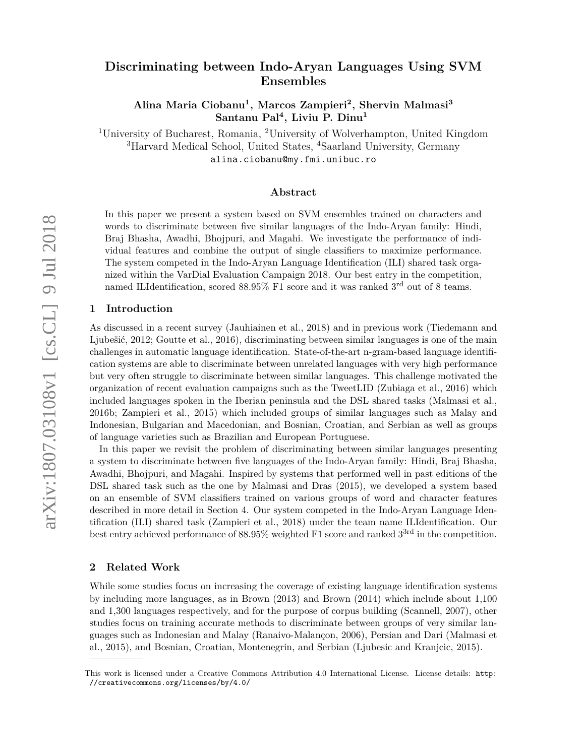# **Discriminating between Indo-Aryan Languages Using SVM Ensembles**

**Alina Maria Ciobanu<sup>1</sup> , Marcos Zampieri<sup>2</sup> , Shervin Malmasi<sup>3</sup> Santanu Pal<sup>4</sup> , Liviu P. Dinu<sup>1</sup>**

<sup>1</sup>University of Bucharest, Romania, <sup>2</sup>University of Wolverhampton, United Kingdom <sup>3</sup>Harvard Medical School, United States, <sup>4</sup>Saarland University, Germany alina.ciobanu@my.fmi.unibuc.ro

## **Abstract**

In this paper we present a system based on SVM ensembles trained on characters and words to discriminate between five similar languages of the Indo-Aryan family: Hindi, Braj Bhasha, Awadhi, Bhojpuri, and Magahi. We investigate the performance of individual features and combine the output of single classifiers to maximize performance. The system competed in the Indo-Aryan Language Identification (ILI) shared task organized within the VarDial Evaluation Campaign 2018. Our best entry in the competition, named ILIdentification, scored  $88.95\%$  F1 score and it was ranked  $3<sup>rd</sup>$  out of 8 teams.

## **1 Introduction**

As discussed in a recent survey (Jauhiainen et al., 2018) and in previous work (Tiedemann and Ljubešić, 2012; Goutte et al., 2016), discriminating between similar languages is one of the main challenges in automatic language identification. State-of-the-art n-gram-based language identification systems are able to discriminate between unrelated languages with very high performance but very often struggle to discriminate between similar languages. This challenge motivated the organization of recent evaluation campaigns such as the TweetLID (Zubiaga et al., 2016) which included languages spoken in the Iberian peninsula and the DSL shared tasks (Malmasi et al., 2016b; Zampieri et al., 2015) which included groups of similar languages such as Malay and Indonesian, Bulgarian and Macedonian, and Bosnian, Croatian, and Serbian as well as groups of language varieties such as Brazilian and European Portuguese.

In this paper we revisit the problem of discriminating between similar languages presenting a system to discriminate between five languages of the Indo-Aryan family: Hindi, Braj Bhasha, Awadhi, Bhojpuri, and Magahi. Inspired by systems that performed well in past editions of the DSL shared task such as the one by Malmasi and Dras (2015), we developed a system based on an ensemble of SVM classifiers trained on various groups of word and character features described in more detail in Section 4. Our system competed in the Indo-Aryan Language Identification (ILI) shared task (Zampieri et al., 2018) under the team name ILIdentification. Our best entry achieved performance of 88.95% weighted F1 score and ranked 3<sup>3rd</sup> in the competition.

## **2 Related Work**

While some studies focus on increasing the coverage of existing language identification systems by including more languages, as in Brown (2013) and Brown (2014) which include about 1,100 and 1,300 languages respectively, and for the purpose of corpus building (Scannell, 2007), other studies focus on training accurate methods to discriminate between groups of very similar languages such as Indonesian and Malay (Ranaivo-Malançon, 2006), Persian and Dari (Malmasi et al., 2015), and Bosnian, Croatian, Montenegrin, and Serbian (Ljubesic and Kranjcic, 2015).

This work is licensed under a Creative Commons Attribution 4.0 International License. License details: http: //creativecommons.org/licenses/by/4.0/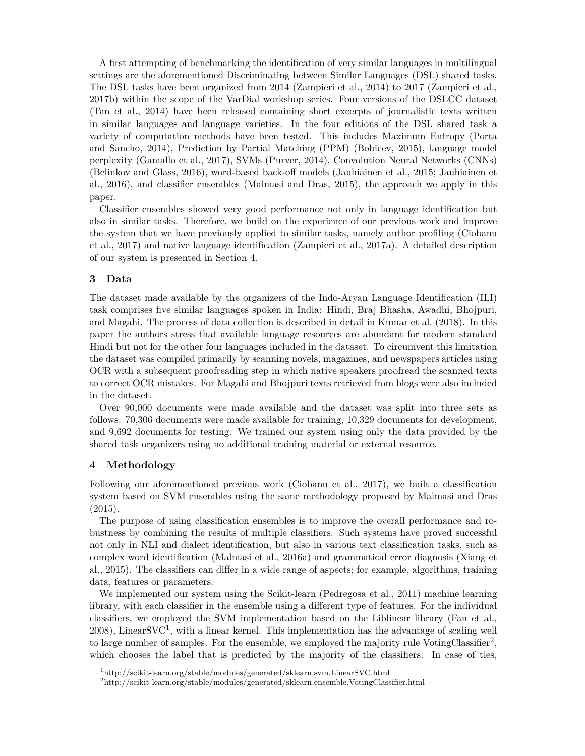A first attempting of benchmarking the identification of very similar languages in multilingual settings are the aforementioned Discriminating between Similar Languages (DSL) shared tasks. The DSL tasks have been organized from 2014 (Zampieri et al., 2014) to 2017 (Zampieri et al., 2017b) within the scope of the VarDial workshop series. Four versions of the DSLCC dataset (Tan et al., 2014) have been released containing short excerpts of journalistic texts written in similar languages and language varieties. In the four editions of the DSL shared task a variety of computation methods have been tested. This includes Maximum Entropy (Porta and Sancho, 2014), Prediction by Partial Matching (PPM) (Bobicev, 2015), language model perplexity (Gamallo et al., 2017), SVMs (Purver, 2014), Convolution Neural Networks (CNNs) (Belinkov and Glass, 2016), word-based back-off models (Jauhiainen et al., 2015; Jauhiainen et al., 2016), and classifier ensembles (Malmasi and Dras, 2015), the approach we apply in this paper.

Classifier ensembles showed very good performance not only in language identification but also in similar tasks. Therefore, we build on the experience of our previous work and improve the system that we have previously applied to similar tasks, namely author profiling (Ciobanu et al., 2017) and native language identification (Zampieri et al., 2017a). A detailed description of our system is presented in Section 4.

## **3 Data**

The dataset made available by the organizers of the Indo-Aryan Language Identification (ILI) task comprises five similar languages spoken in India: Hindi, Braj Bhasha, Awadhi, Bhojpuri, and Magahi. The process of data collection is described in detail in Kumar et al. (2018). In this paper the authors stress that available language resources are abundant for modern standard Hindi but not for the other four languages included in the dataset. To circumvent this limitation the dataset was compiled primarily by scanning novels, magazines, and newspapers articles using OCR with a subsequent proofreading step in which native speakers proofread the scanned texts to correct OCR mistakes. For Magahi and Bhojpuri texts retrieved from blogs were also included in the dataset.

Over 90,000 documents were made available and the dataset was split into three sets as follows: 70,306 documents were made available for training, 10,329 documents for development, and 9,692 documents for testing. We trained our system using only the data provided by the shared task organizers using no additional training material or external resource.

## **4 Methodology**

Following our aforementioned previous work (Ciobanu et al., 2017), we built a classification system based on SVM ensembles using the same methodology proposed by Malmasi and Dras (2015).

The purpose of using classification ensembles is to improve the overall performance and robustness by combining the results of multiple classifiers. Such systems have proved successful not only in NLI and dialect identification, but also in various text classification tasks, such as complex word identification (Malmasi et al., 2016a) and grammatical error diagnosis (Xiang et al., 2015). The classifiers can differ in a wide range of aspects; for example, algorithms, training data, features or parameters.

We implemented our system using the Scikit-learn (Pedregosa et al., 2011) machine learning library, with each classifier in the ensemble using a different type of features. For the individual classifiers, we employed the SVM implementation based on the Liblinear library (Fan et al.,  $2008$ ), Linear $SVC<sup>1</sup>$ , with a linear kernel. This implementation has the advantage of scaling well to large number of samples. For the ensemble, we employed the majority rule VotingClassifier<sup>2</sup>, which chooses the label that is predicted by the majority of the classifiers. In case of ties,

<sup>1</sup>http://scikit-learn.org/stable/modules/generated/sklearn.svm.LinearSVC.html

<sup>2</sup>http://scikit-learn.org/stable/modules/generated/sklearn.ensemble.VotingClassifier.html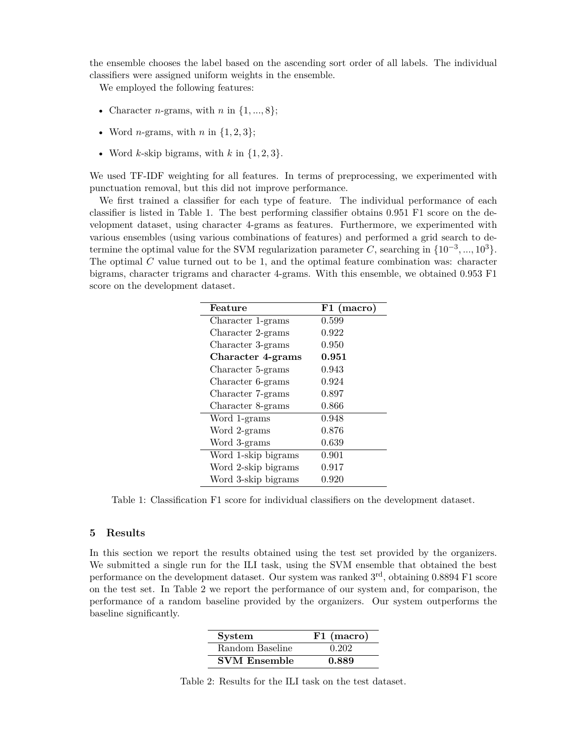the ensemble chooses the label based on the ascending sort order of all labels. The individual classifiers were assigned uniform weights in the ensemble.

We employed the following features:

- Character *n*-grams, with *n* in  $\{1, ..., 8\}$ ;
- Word *n*-grams, with *n* in  $\{1, 2, 3\}$ ;
- Word *k*-skip bigrams, with *k* in  $\{1, 2, 3\}$ .

We used TF-IDF weighting for all features. In terms of preprocessing, we experimented with punctuation removal, but this did not improve performance.

We first trained a classifier for each type of feature. The individual performance of each classifier is listed in Table 1. The best performing classifier obtains 0.951 F1 score on the development dataset, using character 4-grams as features. Furthermore, we experimented with various ensembles (using various combinations of features) and performed a grid search to determine the optimal value for the SVM regularization parameter C, searching in  $\{10^{-3}, ..., 10^{3}\}$ . The optimal  $C$  value turned out to be 1, and the optimal feature combination was: character bigrams, character trigrams and character 4-grams. With this ensemble, we obtained 0.953 F1 score on the development dataset.

| Feature             | F1 (macro) |
|---------------------|------------|
| Character 1-grams   | 0.599      |
| Character 2-grams   | 0.922      |
| Character 3-grams   | 0.950      |
| Character 4-grams   | 0.951      |
| Character 5-grams   | 0.943      |
| Character 6-grams   | 0.924      |
| Character 7-grams   | 0.897      |
| Character 8-grams   | 0.866      |
| Word 1-grams        | 0.948      |
| Word 2-grams        | 0.876      |
| Word 3-grams        | 0.639      |
| Word 1-skip bigrams | 0.901      |
| Word 2-skip bigrams | 0.917      |
| Word 3-skip bigrams | 0.920      |

Table 1: Classification F1 score for individual classifiers on the development dataset.

#### **5 Results**

In this section we report the results obtained using the test set provided by the organizers. We submitted a single run for the ILI task, using the SVM ensemble that obtained the best performance on the development dataset. Our system was ranked  $3<sup>rd</sup>$ , obtaining 0.8894 F1 score on the test set. In Table 2 we report the performance of our system and, for comparison, the performance of a random baseline provided by the organizers. Our system outperforms the baseline significantly.

| <b>System</b>       | F1 (macro) |
|---------------------|------------|
| Random Baseline     | 0.202      |
| <b>SVM Ensemble</b> | 0.889      |

Table 2: Results for the ILI task on the test dataset.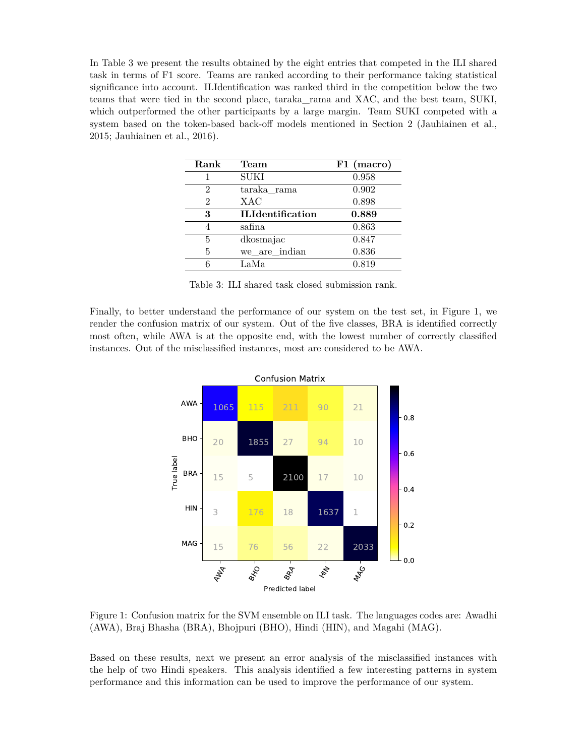In Table 3 we present the results obtained by the eight entries that competed in the ILI shared task in terms of F1 score. Teams are ranked according to their performance taking statistical significance into account. ILIdentification was ranked third in the competition below the two teams that were tied in the second place, taraka\_rama and XAC, and the best team, SUKI, which outperformed the other participants by a large margin. Team SUKI competed with a system based on the token-based back-off models mentioned in Section 2 (Jauhiainen et al., 2015; Jauhiainen et al., 2016).

| Rank | Team                    | F1 (macro) |
|------|-------------------------|------------|
| 1    | <b>SUKI</b>             | 0.958      |
| 2    | taraka rama             | 0.902      |
| 2    | <b>XAC</b>              | 0.898      |
| 3    | <b>ILIdentification</b> | 0.889      |
| 4    | safina                  | 0.863      |
| 5    | dkosmajac               | 0.847      |
| 5    | we are indian           | 0.836      |
| 6    | LaMa                    | 0.819      |

Table 3: ILI shared task closed submission rank.

Finally, to better understand the performance of our system on the test set, in Figure 1, we render the confusion matrix of our system. Out of the five classes, BRA is identified correctly most often, while AWA is at the opposite end, with the lowest number of correctly classified instances. Out of the misclassified instances, most are considered to be AWA.



Figure 1: Confusion matrix for the SVM ensemble on ILI task. The languages codes are: Awadhi (AWA), Braj Bhasha (BRA), Bhojpuri (BHO), Hindi (HIN), and Magahi (MAG).

Based on these results, next we present an error analysis of the misclassified instances with the help of two Hindi speakers. This analysis identified a few interesting patterns in system performance and this information can be used to improve the performance of our system.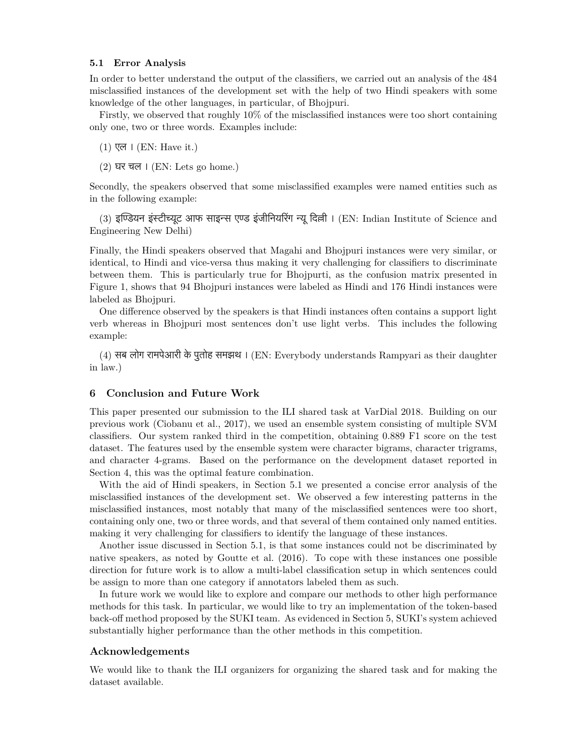### **5.1 Error Analysis**

In order to better understand the output of the classifiers, we carried out an analysis of the 484 misclassified instances of the development set with the help of two Hindi speakers with some knowledge of the other languages, in particular, of Bhojpuri.

Firstly, we observed that roughly 10% of the misclassified instances were too short containing only one, two or three words. Examples include:

- (1) एल । (EN: Have it.)
- $(2)$  घर चल । (EN: Lets go home.)

Secondly, the speakers observed that some misclassified examples were named entities such as in the following example:

(3) इण्डियन इंस्टीच्यूट आफ साइन्स एण्ड इंजीनियरिंग न्यू दिल्ली । (EN: Indian Institute of Science and Engineering New Delhi)

Finally, the Hindi speakers observed that Magahi and Bhojpuri instances were very similar, or identical, to Hindi and vice-versa thus making it very challenging for classifiers to discriminate between them. This is particularly true for Bhojpurti, as the confusion matrix presented in Figure 1, shows that 94 Bhojpuri instances were labeled as Hindi and 176 Hindi instances were labeled as Bhojpuri.

One difference observed by the speakers is that Hindi instances often contains a support light verb whereas in Bhojpuri most sentences don't use light verbs. This includes the following example:

(4) सब लोग रामपेआरी के पुतोह समझथ । (EN: Everybody understands Rampyari as their daughter in law.)

## **6 Conclusion and Future Work**

This paper presented our submission to the ILI shared task at VarDial 2018. Building on our previous work (Ciobanu et al., 2017), we used an ensemble system consisting of multiple SVM classifiers. Our system ranked third in the competition, obtaining 0.889 F1 score on the test dataset. The features used by the ensemble system were character bigrams, character trigrams, and character 4-grams. Based on the performance on the development dataset reported in Section 4, this was the optimal feature combination.

With the aid of Hindi speakers, in Section 5.1 we presented a concise error analysis of the misclassified instances of the development set. We observed a few interesting patterns in the misclassified instances, most notably that many of the misclassified sentences were too short, containing only one, two or three words, and that several of them contained only named entities. making it very challenging for classifiers to identify the language of these instances.

Another issue discussed in Section 5.1, is that some instances could not be discriminated by native speakers, as noted by Goutte et al. (2016). To cope with these instances one possible direction for future work is to allow a multi-label classification setup in which sentences could be assign to more than one category if annotators labeled them as such.

In future work we would like to explore and compare our methods to other high performance methods for this task. In particular, we would like to try an implementation of the token-based back-off method proposed by the SUKI team. As evidenced in Section 5, SUKI's system achieved substantially higher performance than the other methods in this competition.

## **Acknowledgements**

We would like to thank the ILI organizers for organizing the shared task and for making the dataset available.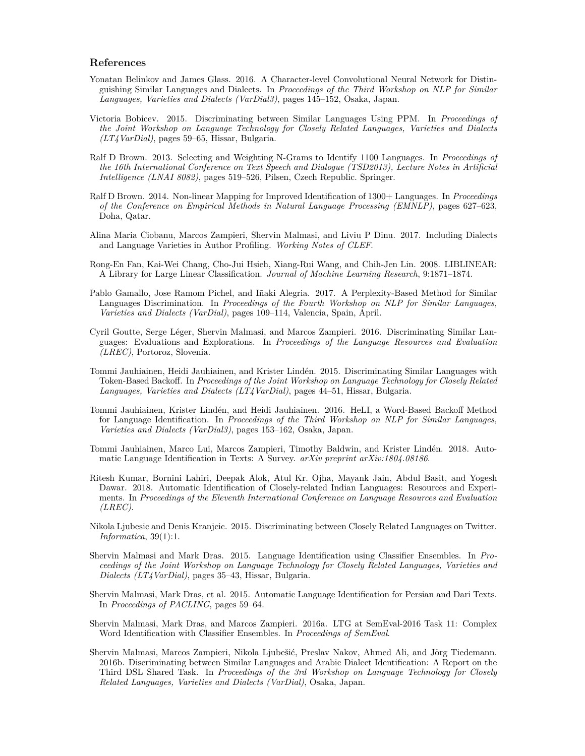## **References**

- Yonatan Belinkov and James Glass. 2016. A Character-level Convolutional Neural Network for Distinguishing Similar Languages and Dialects. In *Proceedings of the Third Workshop on NLP for Similar Languages, Varieties and Dialects (VarDial3)*, pages 145–152, Osaka, Japan.
- Victoria Bobicev. 2015. Discriminating between Similar Languages Using PPM. In *Proceedings of the Joint Workshop on Language Technology for Closely Related Languages, Varieties and Dialects (LT4VarDial)*, pages 59–65, Hissar, Bulgaria.
- Ralf D Brown. 2013. Selecting and Weighting N-Grams to Identify 1100 Languages. In *Proceedings of the 16th International Conference on Text Speech and Dialogue (TSD2013), Lecture Notes in Artificial Intelligence (LNAI 8082)*, pages 519–526, Pilsen, Czech Republic. Springer.
- Ralf D Brown. 2014. Non-linear Mapping for Improved Identification of 1300+ Languages. In *Proceedings of the Conference on Empirical Methods in Natural Language Processing (EMNLP)*, pages 627–623, Doha, Qatar.
- Alina Maria Ciobanu, Marcos Zampieri, Shervin Malmasi, and Liviu P Dinu. 2017. Including Dialects and Language Varieties in Author Profiling. *Working Notes of CLEF*.
- Rong-En Fan, Kai-Wei Chang, Cho-Jui Hsieh, Xiang-Rui Wang, and Chih-Jen Lin. 2008. LIBLINEAR: A Library for Large Linear Classification. *Journal of Machine Learning Research*, 9:1871–1874.
- Pablo Gamallo, Jose Ramom Pichel, and Iñaki Alegria. 2017. A Perplexity-Based Method for Similar Languages Discrimination. In *Proceedings of the Fourth Workshop on NLP for Similar Languages, Varieties and Dialects (VarDial)*, pages 109–114, Valencia, Spain, April.
- Cyril Goutte, Serge Léger, Shervin Malmasi, and Marcos Zampieri. 2016. Discriminating Similar Languages: Evaluations and Explorations. In *Proceedings of the Language Resources and Evaluation (LREC)*, Portoroz, Slovenia.
- Tommi Jauhiainen, Heidi Jauhiainen, and Krister Lindén. 2015. Discriminating Similar Languages with Token-Based Backoff. In *Proceedings of the Joint Workshop on Language Technology for Closely Related Languages, Varieties and Dialects (LT4VarDial)*, pages 44–51, Hissar, Bulgaria.
- Tommi Jauhiainen, Krister Lindén, and Heidi Jauhiainen. 2016. HeLI, a Word-Based Backoff Method for Language Identification. In *Proceedings of the Third Workshop on NLP for Similar Languages, Varieties and Dialects (VarDial3)*, pages 153–162, Osaka, Japan.
- Tommi Jauhiainen, Marco Lui, Marcos Zampieri, Timothy Baldwin, and Krister Lindén. 2018. Automatic Language Identification in Texts: A Survey. *arXiv preprint arXiv:1804.08186*.
- Ritesh Kumar, Bornini Lahiri, Deepak Alok, Atul Kr. Ojha, Mayank Jain, Abdul Basit, and Yogesh Dawar. 2018. Automatic Identification of Closely-related Indian Languages: Resources and Experiments. In *Proceedings of the Eleventh International Conference on Language Resources and Evaluation (LREC)*.
- Nikola Ljubesic and Denis Kranjcic. 2015. Discriminating between Closely Related Languages on Twitter. *Informatica*, 39(1):1.
- Shervin Malmasi and Mark Dras. 2015. Language Identification using Classifier Ensembles. In *Proceedings of the Joint Workshop on Language Technology for Closely Related Languages, Varieties and Dialects (LT4VarDial)*, pages 35–43, Hissar, Bulgaria.
- Shervin Malmasi, Mark Dras, et al. 2015. Automatic Language Identification for Persian and Dari Texts. In *Proceedings of PACLING*, pages 59–64.
- Shervin Malmasi, Mark Dras, and Marcos Zampieri. 2016a. LTG at SemEval-2016 Task 11: Complex Word Identification with Classifier Ensembles. In *Proceedings of SemEval*.
- Shervin Malmasi, Marcos Zampieri, Nikola Ljubešić, Preslav Nakov, Ahmed Ali, and Jörg Tiedemann. 2016b. Discriminating between Similar Languages and Arabic Dialect Identification: A Report on the Third DSL Shared Task. In *Proceedings of the 3rd Workshop on Language Technology for Closely Related Languages, Varieties and Dialects (VarDial)*, Osaka, Japan.